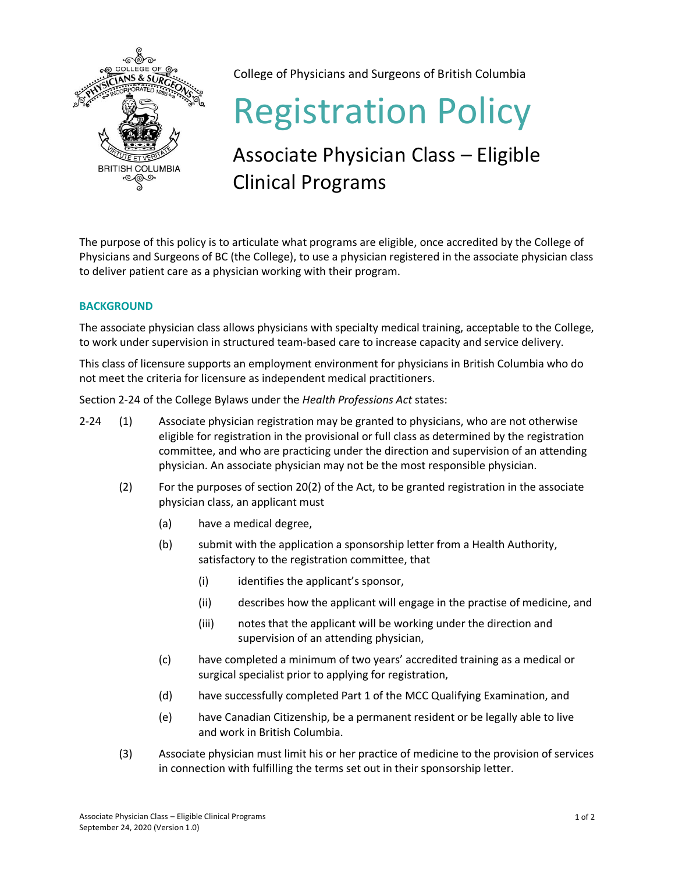

College of Physicians and Surgeons of British Columbia

# Registration Policy

# Associate Physician Class – Eligible Clinical Programs

The purpose of this policy is to articulate what programs are eligible, once accredited by the College of Physicians and Surgeons of BC (the College), to use a physician registered in the associate physician class to deliver patient care as a physician working with their program.

## **BACKGROUND**

The associate physician class allows physicians with specialty medical training, acceptable to the College, to work under supervision in structured team-based care to increase capacity and service delivery.

This class of licensure supports an employment environment for physicians in British Columbia who do not meet the criteria for licensure as independent medical practitioners.

Section 2-24 of the College Bylaws under the *Health Professions Act* states:

- 2-24 (1) Associate physician registration may be granted to physicians, who are not otherwise eligible for registration in the provisional or full class as determined by the registration committee, and who are practicing under the direction and supervision of an attending physician. An associate physician may not be the most responsible physician.
	- (2) For the purposes of section 20(2) of the Act, to be granted registration in the associate physician class, an applicant must
		- (a) have a medical degree,
		- (b) submit with the application a sponsorship letter from a Health Authority, satisfactory to the registration committee, that
			- (i) identifies the applicant's sponsor,
			- (ii) describes how the applicant will engage in the practise of medicine, and
			- (iii) notes that the applicant will be working under the direction and supervision of an attending physician,
		- (c) have completed a minimum of two years' accredited training as a medical or surgical specialist prior to applying for registration,
		- (d) have successfully completed Part 1 of the MCC Qualifying Examination, and
		- (e) have Canadian Citizenship, be a permanent resident or be legally able to live and work in British Columbia.
	- (3) Associate physician must limit his or her practice of medicine to the provision of services in connection with fulfilling the terms set out in their sponsorship letter.